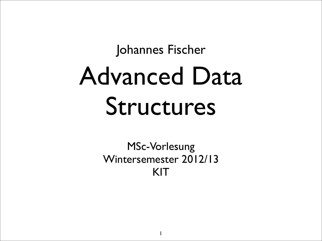#### Advanced Data Structures Johannes Fischer

MSc-Vorlesung Wintersemester 2012/13 KIT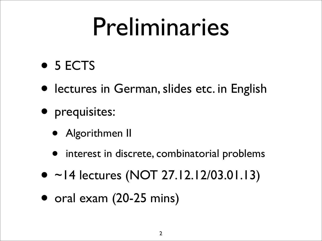### Preliminaries

- 5 ECTS
- lectures in German, slides etc. in English
- prequisites:
	- Algorithmen II
	- interest in discrete, combinatorial problems
- ~14 lectures (NOT 27.12.12/03.01.13)
- oral exam (20-25 mins)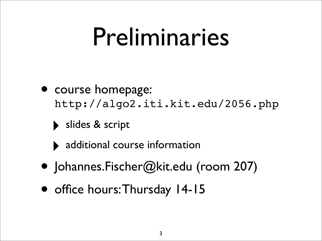#### Preliminaries

- course homepage: [http://algo2.iti.kit.edu/2056.php](http://algo2.iti.kit.edu/1909.php)
	- slides & script
	- additional course information
- [Johannes.Fischer@kit.edu](mailto:Johannes.Fischer@kit.edu) (room 207)
- office hours: Thursday 14-15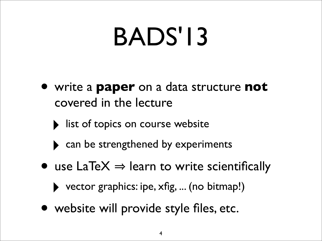## BADS'13

- write a **paper** on a data structure **not** covered in the lecture
	- I list of topics on course website
	- can be strengthened by experiments
- use  $LaTeX \Rightarrow learn to write scientifically$ 
	- ‣ vector graphics: ipe, xfig, ... (no bitmap!)
- website will provide style files, etc.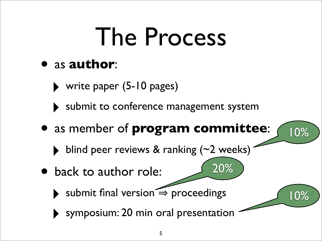## The Process

#### • as **author**:

‣ write paper (5-10 pages)

‣ submit to conference management system

• as member of **program committee**:

20%

10%

10%

- ‣ blind peer reviews & ranking (~2 weeks)
- back to author role:
	- $\rightarrow$  submit final version  $\leq$  proceedings
	- ‣ symposium: 20 min oral presentation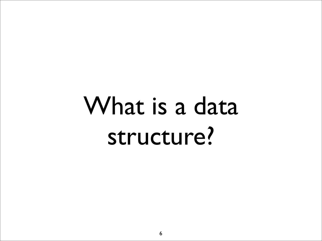## What is a data structure?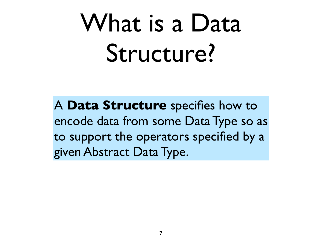# What is a Data Structure?

A **Data Structure** specifies how to encode data from some Data Type so as to support the operators specified by a given Abstract Data Type.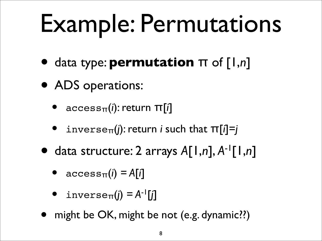# Example: Permutations

- data type: **permutation** <sup>π</sup> of [1,*n*]
- ADS operations:
	- accessπ(*i*): return π[*i*]
	- inverse $\pi(i)$ : return *i* such that  $\pi[i]=j$
- data structure: 2 arrays *A*[1,*n*], *A*-1[1,*n*]
	- $\arccos \pi(i) = A[i]$
	- inverse $\pi(i) = A^{-1}[i]$
- might be OK, might be not (e.g. dynamic??)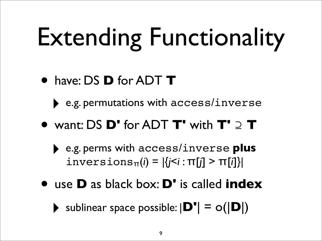# Extending Functionality

- have: DS **D** for ADT **<sup>T</sup>**
	- ‣ e.g. permutations with access/inverse
- want: DS **D'** for ADT **T'** with **T'** <sup>⊇</sup> **<sup>T</sup>**
	- ‣ e.g. perms with access/inverse **plus** inversionsπ(*i*) = |{*j*<*i* : π[*j*] > π[*i*]}|
- use **D** as black box: **D'** is called **index**
	- $\triangleright$  sublinear space possible:  $|\mathbf{D'}| = o(|\mathbf{D}|)$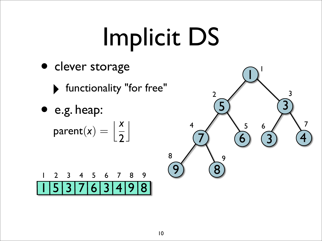# Implicit DS

- clever storage
	- ‣ functionality "for free"
	- e.g. heap:  $\text{parent}(x) = \left| \frac{x}{2} \right|$  $\overline{2}$  $\begin{array}{c} \hline \end{array}$



|  |  |  |  | 1 2 3 4 5 6 7 8 9 |
|--|--|--|--|-------------------|
|  |  |  |  | 153763498         |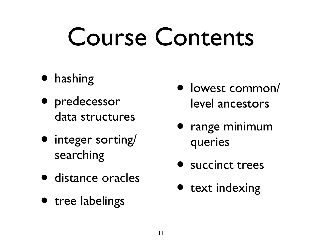## Course Contents

- hashing
- predecessor data structures
- integer sorting/ searching
- distance oracles
- tree labelings
- lowest common/ level ancestors
- range minimum queries
- succinct trees
- text indexing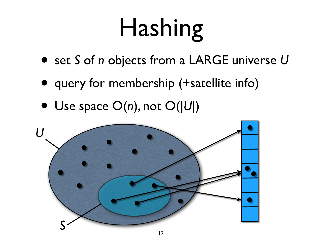# Hashing

- set *S* of *n* objects from a LARGE universe *<sup>U</sup>*
- query for membership (+satellite info)
- Use space O(*n*), not O(|*U*|)

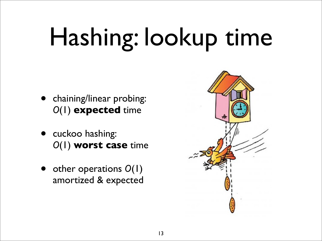# Hashing: lookup time

- chaining/linear probing: *O*(1) **expected** time
- cuckoo hashing: *O*(1) **worst case** time
- other operations *O*(1) amortized & expected

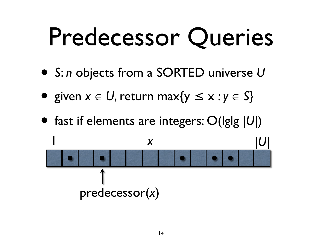## Predecessor Queries

- *<sup>S</sup>*: *n* objects from a SORTED universe *<sup>U</sup>*
- given  $x \in U$ , return max $\{y \le x : y \in S\}$
- fast if elements are integers: O(lglg *|U|*)

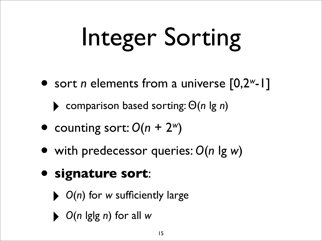# Integer Sorting

• sort *n* elements from a universe [0,2*<sup>w</sup>*-1]

‣ comparison based sorting: Θ(*n* lg *n*)

- counting sort:  $O(n + 2<sup>w</sup>)$
- with predecessor queries: *O*(*n* lg *w*)
- **signature sort**:
	- ‣ *<sup>O</sup>*(*n*) for *w* sufficiently large
	- ‣ *<sup>O</sup>*(*n* lglg *n*) for all *<sup>w</sup>*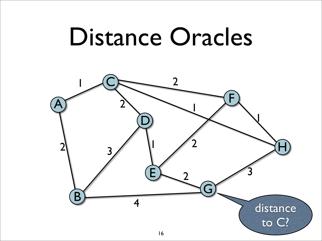#### Distance Oracles

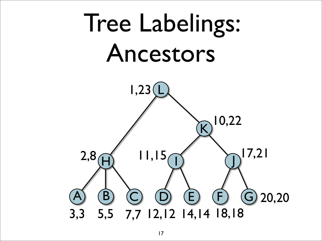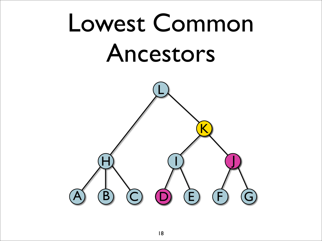## Lowest Common Ancestors

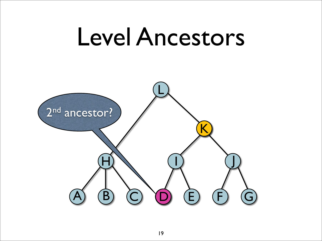#### Level Ancestors

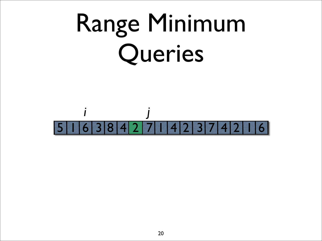# Range Minimum Queries

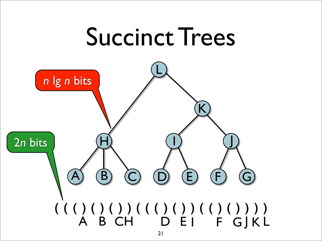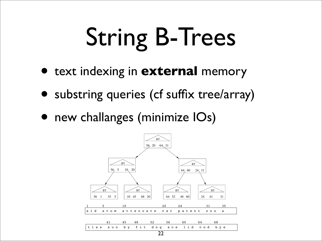# String B-Trees

- text indexing in **external** memory
- substring queries (cf suffix tree/array)
- new challanges (minimize  $|Os\rangle$

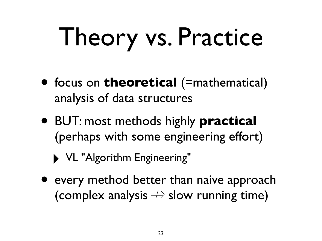# Theory vs. Practice

- focus on **theoretical** (=mathematical) analysis of data structures
- BUT: most methods highly **practical** (perhaps with some engineering effort)
	- ‣ VL "Algorithm Engineering"
- every method better than naive approach (complex analysis  $\Rightarrow$  slow running time)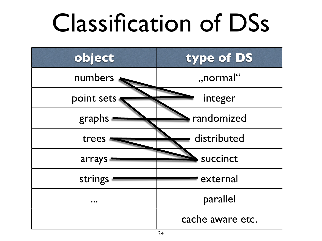## Classification of DSs